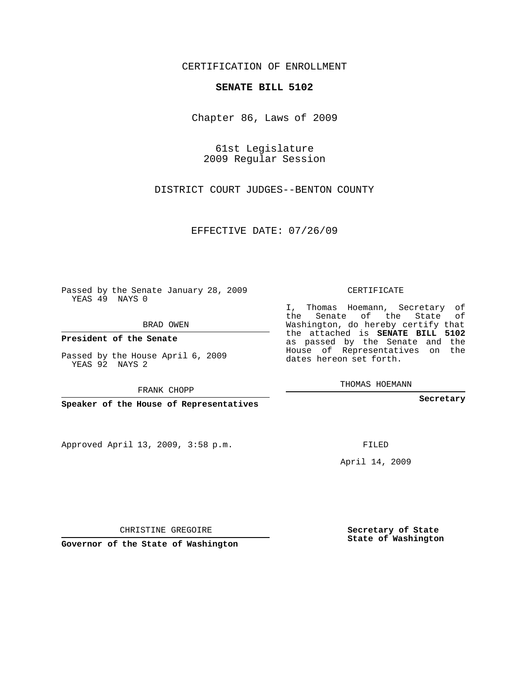## CERTIFICATION OF ENROLLMENT

## **SENATE BILL 5102**

Chapter 86, Laws of 2009

61st Legislature 2009 Regular Session

DISTRICT COURT JUDGES--BENTON COUNTY

EFFECTIVE DATE: 07/26/09

Passed by the Senate January 28, 2009 YEAS 49 NAYS 0

BRAD OWEN

**President of the Senate**

Passed by the House April 6, 2009 YEAS 92 NAYS 2

FRANK CHOPP

**Speaker of the House of Representatives**

Approved April 13, 2009, 3:58 p.m.

CERTIFICATE

I, Thomas Hoemann, Secretary of the Senate of the State of Washington, do hereby certify that the attached is **SENATE BILL 5102** as passed by the Senate and the House of Representatives on the dates hereon set forth.

THOMAS HOEMANN

**Secretary**

FILED

April 14, 2009

CHRISTINE GREGOIRE

**Governor of the State of Washington**

**Secretary of State State of Washington**